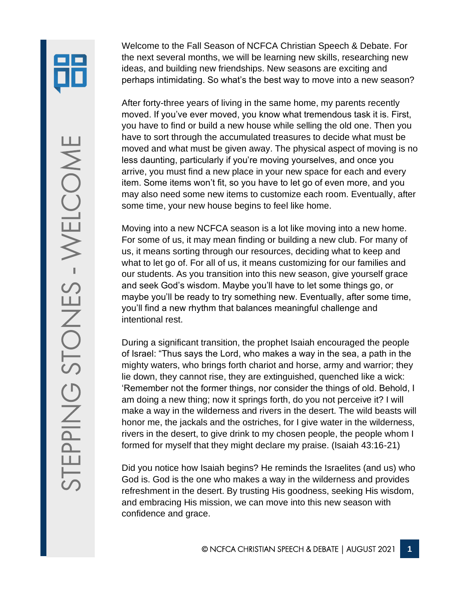Welcome to the Fall Season of NCFCA Christian Speech & Debate. For the next several months, we will be learning new skills, researching new ideas, and building new friendships. New seasons are exciting and perhaps intimidating. So what's the best way to move into a new season?

After forty-three years of living in the same home, my parents recently moved. If you've ever moved, you know what tremendous task it is. First, you have to find or build a new house while selling the old one. Then you have to sort through the accumulated treasures to decide what must be moved and what must be given away. The physical aspect of moving is no less daunting, particularly if you're moving yourselves, and once you arrive, you must find a new place in your new space for each and every item. Some items won't fit, so you have to let go of even more, and you may also need some new items to customize each room. Eventually, after some time, your new house begins to feel like home.

Moving into a new NCFCA season is a lot like moving into a new home. For some of us, it may mean finding or building a new club. For many of us, it means sorting through our resources, deciding what to keep and what to let go of. For all of us, it means customizing for our families and our students. As you transition into this new season, give yourself grace and seek God's wisdom. Maybe you'll have to let some things go, or maybe you'll be ready to try something new. Eventually, after some time, you'll find a new rhythm that balances meaningful challenge and intentional rest.

During a significant transition, the prophet Isaiah encouraged the people of Israel: "Thus says the Lord, who makes a way in the sea, a path in the mighty waters, who brings forth chariot and horse, army and warrior; they lie down, they cannot rise, they are extinguished, quenched like a wick: 'Remember not the former things, nor consider the things of old. Behold, I am doing a new thing; now it springs forth, do you not perceive it? I will make a way in the wilderness and rivers in the desert. The wild beasts will honor me, the jackals and the ostriches, for I give water in the wilderness, rivers in the desert, to give drink to my chosen people, the people whom I formed for myself that they might declare my praise. (Isaiah 43:16-21)

Did you notice how Isaiah begins? He reminds the Israelites (and us) who God is. God is the one who makes a way in the wilderness and provides refreshment in the desert. By trusting His goodness, seeking His wisdom, and embracing His mission, we can move into this new season with confidence and grace.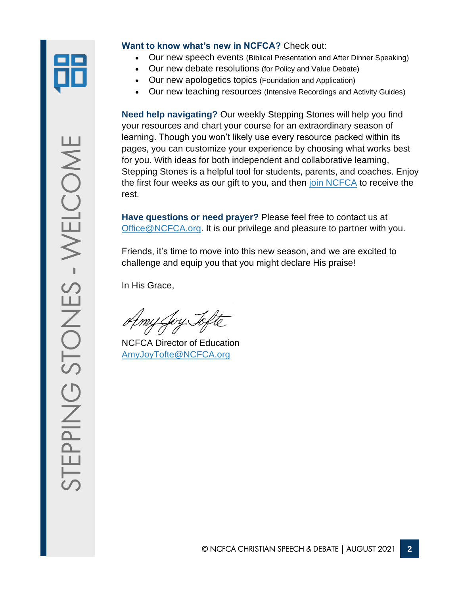

### **Want to know what's new in NCFCA?** Check out:

- Our new speech events (Biblical Presentation and After Dinner Speaking)
- Our new debate resolutions (for Policy and Value Debate)
- Our new apologetics topics (Foundation and Application)
- Our new teaching resources (Intensive Recordings and Activity Guides)

**Need help navigating?** Our weekly Stepping Stones will help you find your resources and chart your course for an extraordinary season of learning. Though you won't likely use every resource packed within its pages, you can customize your experience by choosing what works best for you. With ideas for both independent and collaborative learning, Stepping Stones is a helpful tool for students, parents, and coaches. Enjoy the first four weeks as our gift to you, and then [join NCFCA](https://ncfca.org/join-the-league/) to receive the rest.

**Have questions or need prayer?** Please feel free to contact us at [Office@NCFCA.org.](mailto:Office@NCFCA.org) It is our privilege and pleasure to partner with you.

Friends, it's time to move into this new season, and we are excited to challenge and equip you that you might declare His praise!

In His Grace,

Toy Jop

NCFCA Director of Education [AmyJoyTofte@NCFCA.org](mailto:AmyJoyTofte@NCFCA.org)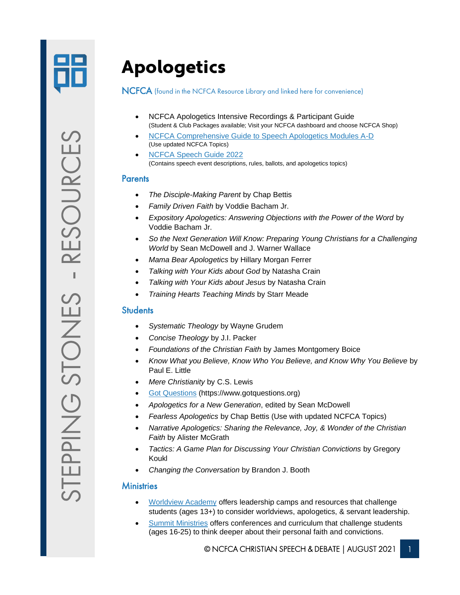

## Apologetics

#### NCFCA (found in the NCFCA Resource Library and linked here for convenience)

- NCFCA Apologetics Intensive Recordings & Participant Guide (Student & Club Packages available; Visit your NCFCA dashboard and choose NCFCA Shop)
- [NCFCA Comprehensive Guide to Speech Apologetics Modules A-D](https://ncfca.org/shop/) (Use updated NCFCA Topics)
- [NCFCA Speech Guide 2022](https://firebasestorage.googleapis.com/v0/b/ncfca-website.appspot.com/o/resources%2F1630417172523_2022%20Speech%20Guide%20Updated%20Aug%2030%202021.pdf?alt=media&token=d539282e-75b5-4f57-bc30-b170b42aa6fe) (Contains speech event descriptions, rules, ballots, and apologetics topics)

### **Parents**

- *The Disciple-Making Parent* by Chap Bettis
- *Family Driven Faith* by Voddie Bacham Jr.
- *Expository Apologetics: Answering Objections with the Power of the Word* by Voddie Bacham Jr.
- *So the Next Generation Will Know: Preparing Young Christians for a Challenging World* by Sean McDowell and J. Warner Wallace
- *Mama Bear Apologetics* by Hillary Morgan Ferrer
- *Talking with Your Kids about God* by Natasha Crain
- *Talking with Your Kids about Jesus* by Natasha Crain
- *Training Hearts Teaching Minds* by Starr Meade

### **Students**

- *Systematic Theology* by Wayne Grudem
- *Concise Theology* by J.I. Packer
- *Foundations of the Christian Faith* by James Montgomery Boice
- *Know What you Believe, Know Who You Believe, and Know Why You Believe* by Paul E. Little
- *Mere Christianity* by C.S. Lewis
- [Got Questions](https://www.gotquestions.org/) (https://www.gotquestions.org)
- *Apologetics for a New Generation*, edited by Sean McDowell
- *Fearless Apologetics* by Chap Bettis (Use with updated NCFCA Topics)
- *Narrative Apologetics: Sharing the Relevance, Joy, & Wonder of the Christian Faith* by Alister McGrath
- *Tactics: A Game Plan for Discussing Your Christian Convictions* by Gregory Koukl
- *Changing the Conversation* by Brandon J. Booth

#### **Ministries**

- [Worldview Academy](https://worldview.org/) offers leadership camps and resources that challenge students (ages 13+) to consider worldviews, apologetics, & servant leadership.
- [Summit Ministries](https://www.summit.org/) offers conferences and curriculum that challenge students (ages 16-25) to think deeper about their personal faith and convictions.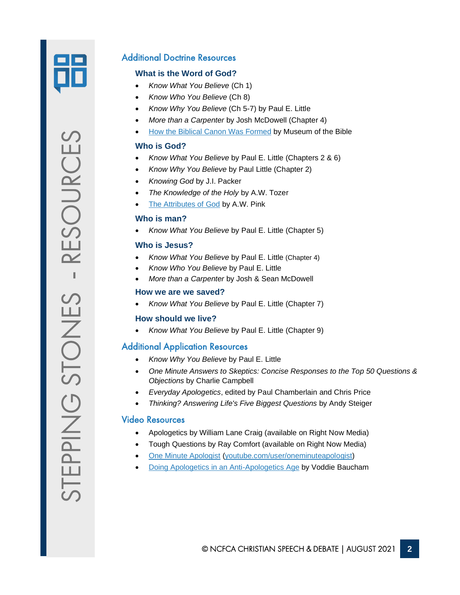

### Additional Doctrine Resources

### **What is the Word of God?**

- *Know What You Believe* (Ch 1)
- *Know Who You Believe* (Ch 8)
- *Know Why You Believe* (Ch 5-7) by Paul E. Little
- *More than a Carpenter* by Josh McDowell (Chapter 4)
- [How the Biblical Canon Was Formed](/Users/amyjoytofte/NCFCA%20Dropbox/Education/2021%20Stepping%20Stones/How%20the%20Biblical%20Canon%20Was%20Formed) by Museum of the Bible

### **Who is God?**

- *Know What You Believe* by Paul E. Little (Chapters 2 & 6)
- *Know Why You Believe* by Paul Little (Chapter 2)
- *Knowing God* by J.I. Packer
- *The Knowledge of the Holy* by A.W. Tozer
- [The Attributes of God](https://chapellibrary.org:8443/pdf/books/aogo.pdf) by A.W. Pink

### **Who is man?**

• *Know What You Believe* by Paul E. Little (Chapter 5)

### **Who is Jesus?**

- *Know What You Believe* by Paul E. Little (Chapter 4)
- *Know Who You Believe* by Paul E. Little
- *More than a Carpenter* by Josh & Sean McDowell

### **How we are we saved?**

• *Know What You Believe* by Paul E. Little (Chapter 7)

### **How should we live?**

• *Know What You Believe* by Paul E. Little (Chapter 9)

### Additional Application Resources

- *Know Why You Believe* by Paul E. Little
- *One Minute Answers to Skeptics: Concise Responses to the Top 50 Questions & Objections* by Charlie Campbell
- *Everyday Apologetics*, edited by Paul Chamberlain and Chris Price
- *Thinking? Answering Life's Five Biggest Questions* by Andy Steiger

### Video Resources

- Apologetics by William Lane Craig (available on Right Now Media)
- Tough Questions by Ray Comfort (available on Right Now Media)
- [One Minute Apologist](http://youtube.com/user/oneminuteapologist) [\(youtube.com/user/oneminuteapologist\)](http://youtube.com/user/oneminuteapologist)
- [Doing Apologetics in an Anti-Apologetics Age](https://youtu.be/t91z67hvFvw) by Voddie Baucham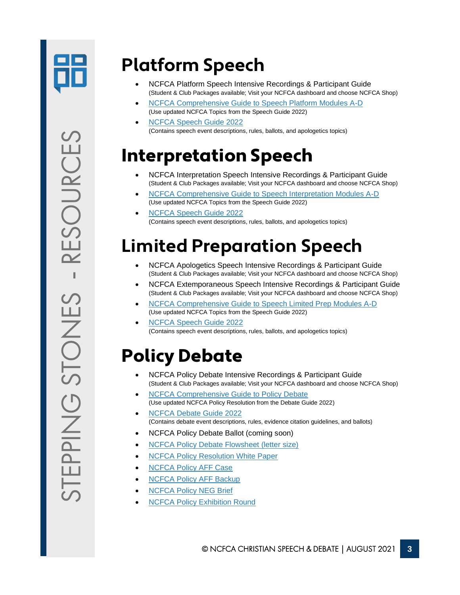

## **Platform Speech**

- NCFCA Platform Speech Intensive Recordings & Participant Guide (Student & Club Packages available; Visit your NCFCA dashboard and choose NCFCA Shop)
- [NCFCA Comprehensive Guide to Speech Platform Modules A-D](https://ncfca.org/shop/) (Use updated NCFCA Topics from the Speech Guide 2022)
- [NCFCA Speech Guide 2022](https://firebasestorage.googleapis.com/v0/b/ncfca-website.appspot.com/o/resources%2F1630417172523_2022%20Speech%20Guide%20Updated%20Aug%2030%202021.pdf?alt=media&token=d539282e-75b5-4f57-bc30-b170b42aa6fe) (Contains speech event descriptions, rules, ballots, and apologetics topics)

### Interpretation Speech

- NCFCA Interpretation Speech Intensive Recordings & Participant Guide (Student & Club Packages available; Visit your NCFCA dashboard and choose NCFCA Shop)
- [NCFCA Comprehensive Guide to Speech Interpretation Modules A-D](https://ncfca.org/shop/) (Use updated NCFCA Topics from the Speech Guide 2022)
- [NCFCA Speech Guide 2022](https://firebasestorage.googleapis.com/v0/b/ncfca-website.appspot.com/o/resources%2F1630417172523_2022%20Speech%20Guide%20Updated%20Aug%2030%202021.pdf?alt=media&token=d539282e-75b5-4f57-bc30-b170b42aa6fe) (Contains speech event descriptions, rules, ballots, and apologetics topics)

## **Limited Preparation Speech**

- NCFCA Apologetics Speech Intensive Recordings & Participant Guide (Student & Club Packages available; Visit your NCFCA dashboard and choose NCFCA Shop)
- NCFCA Extemporaneous Speech Intensive Recordings & Participant Guide (Student & Club Packages available; Visit your NCFCA dashboard and choose NCFCA Shop)
- [NCFCA Comprehensive Guide to Speech Limited Prep Modules A-D](https://ncfca.org/shop/) (Use updated NCFCA Topics from the Speech Guide 2022)
- [NCFCA Speech Guide 2022](https://firebasestorage.googleapis.com/v0/b/ncfca-website.appspot.com/o/resources%2F1630417172523_2022%20Speech%20Guide%20Updated%20Aug%2030%202021.pdf?alt=media&token=d539282e-75b5-4f57-bc30-b170b42aa6fe) (Contains speech event descriptions, rules, ballots, and apologetics topics)

## Policy Debate

- NCFCA Policy Debate Intensive Recordings & Participant Guide (Student & Club Packages available; Visit your NCFCA dashboard and choose NCFCA Shop)
- **[NCFCA Comprehensive Guide to Policy Debate](https://ncfca.org/shop/)** (Use updated NCFCA Policy Resolution from the Debate Guide 2022)
- [NCFCA Debate Guide 2022](https://firebasestorage.googleapis.com/v0/b/ncfca-website.appspot.com/o/resources%2F1627935118212_Debate%20Guide%202022%20(Consolidated%20LD%2C%20TP%2C%20and%20Moot%20Court%20Rules).pdf?alt=media&token=66f63825-914e-41e7-9217-a4d55021f8af) (Contains debate event descriptions, rules, evidence citation guidelines, and ballots)
- NCFCA Policy Debate Ballot (coming soon)
- [NCFCA Policy Debate Flowsheet \(letter size\)](https://firebasestorage.googleapis.com/v0/b/ncfca-website.appspot.com/o/resources%2F1629378781092_Team%20Policy%20Flow%20Sheet%20Letter-Sized%202022.pdf?alt=media&token=9d2b5cf5-7b86-43e9-9b5d-ed92033cdda7)
- **[NCFCA Policy Resolution White Paper](https://firebasestorage.googleapis.com/v0/b/ncfca-website.appspot.com/o/resources%2F1618254221562_2022%20NCFCA%20Proposed%20Policy%20Resolution%20%231%20White%20Paper.pdf?alt=media&token=d3838ed7-7800-4c93-bf98-ea446988c015)**
- [NCFCA Policy AFF Case](https://firebasestorage.googleapis.com/v0/b/ncfca-website.appspot.com/o/resources%2F1628343214303_2022%20Policy%20AFF%20Case.pdf?alt=media&token=2b2e9094-deba-4588-b001-4bc512e55372)
- **[NCFCA Policy AFF Backup](https://firebasestorage.googleapis.com/v0/b/ncfca-website.appspot.com/o/resources%2F1628343211675_2022%20Policy%20AFF%20Backup.pdf?alt=media&token=e9e3a02f-4b52-4b98-b06c-eedb39b4414d)**
- **[NCFCA Policy NEG Brief](https://firebasestorage.googleapis.com/v0/b/ncfca-website.appspot.com/o/resources%2F1628343219621_2022%20Policy%20NEG%20Brief.pdf?alt=media&token=6556e6b9-86b7-43f1-b931-4ee9a970bd63)**
- **[NCFCA Policy Exhibition Round](https://vimeo.com/575886921/f695f276b6)**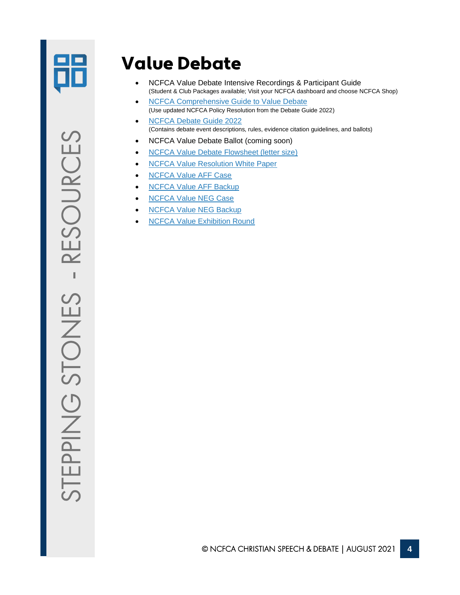

### Value Debate

- NCFCA Value Debate Intensive Recordings & Participant Guide (Student & Club Packages available; Visit your NCFCA dashboard and choose NCFCA Shop)
- [NCFCA Comprehensive Guide to Value Debate](https://ncfca.org/shop/) (Use updated NCFCA Policy Resolution from the Debate Guide 2022)
- [NCFCA Debate Guide 2022](https://firebasestorage.googleapis.com/v0/b/ncfca-website.appspot.com/o/resources%2F1627935118212_Debate%20Guide%202022%20(Consolidated%20LD%2C%20TP%2C%20and%20Moot%20Court%20Rules).pdf?alt=media&token=66f63825-914e-41e7-9217-a4d55021f8af) (Contains debate event descriptions, rules, evidence citation guidelines, and ballots)
- NCFCA Value Debate Ballot (coming soon)
- [NCFCA Value Debate Flowsheet \(letter size\)](https://firebasestorage.googleapis.com/v0/b/ncfca-website.appspot.com/o/resources%2F1629378781091_Lincoln-Douglas%20Flow%20Sheet%20Letter-Sized%202022.pdf?alt=media&token=e5c8560c-cdd0-41fe-94a2-2238ede50744)
- [NCFCA Value Resolution White Paper](https://firebasestorage.googleapis.com/v0/b/ncfca-website.appspot.com/o/resources%2F1618254368857_2022%20NCFCA%20Proposed%20Value%20Resolution%20%232%20White%20Paper.pdf?alt=media&token=a5c0fd0e-8b00-4aca-8cc9-1dd9239fc24a)
- [NCFCA Value AFF Case](https://firebasestorage.googleapis.com/v0/b/ncfca-website.appspot.com/o/resources%2F1628343279926_2022%20Value%20AFF%20Case.pdf?alt=media&token=8cb01dbb-227e-47be-9db8-fb260476f5ca)
- [NCFCA Value AFF Backup](https://firebasestorage.googleapis.com/v0/b/ncfca-website.appspot.com/o/resources%2F1628343276093_2022%20Value%20AFF%20Backup.pdf?alt=media&token=69155bd5-2a6d-4e3e-b3ad-f07441ed9968)
- [NCFCA Value NEG Case](https://firebasestorage.googleapis.com/v0/b/ncfca-website.appspot.com/o/resources%2F1628343284711_2022%20Value%20NEG%20Case.pdf?alt=media&token=28fd7b24-08d6-4479-964e-6de2a5b01195)
- [NCFCA Value NEG Backup](https://firebasestorage.googleapis.com/v0/b/ncfca-website.appspot.com/o/resources%2F1628343282185_2022%20Value%20NEG%20Backup.pdf?alt=media&token=f5619a37-3560-413c-8f9a-c4f412cf595d)
- **[NCFCA Value Exhibition Round](https://vimeo.com/576055891/f63d3b6dee)**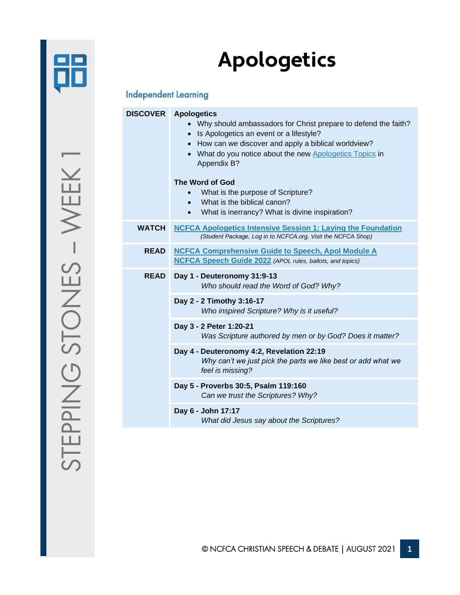

# **Apologetics**

### Independent Learning

|              | <b>DISCOVER</b> Apologetics<br>• Why should ambassadors for Christ prepare to defend the faith?<br>Is Apologetics an event or a lifestyle?<br>$\bullet$<br>• How can we discover and apply a biblical worldview?<br>• What do you notice about the new Apologetics Topics in<br>Appendix B?<br>The Word of God<br>What is the purpose of Scripture?<br>What is the biblical canon?<br>$\bullet$<br>What is inerrancy? What is divine inspiration?<br>$\bullet$ |
|--------------|----------------------------------------------------------------------------------------------------------------------------------------------------------------------------------------------------------------------------------------------------------------------------------------------------------------------------------------------------------------------------------------------------------------------------------------------------------------|
| <b>WATCH</b> | <b>NCFCA Apologetics Intensive Session 1: Laying the Foundation</b><br>(Student Package, Log in to NCFCA.org, Visit the NCFCA Shop)                                                                                                                                                                                                                                                                                                                            |
| <b>READ</b>  | <b>NCFCA Comprehensive Guide to Speech, Apol Module A</b><br><b>NCFCA Speech Guide 2022</b> (APOL rules, ballots, and topics)                                                                                                                                                                                                                                                                                                                                  |
| <b>READ</b>  | Day 1 - Deuteronomy 31:9-13<br>Who should read the Word of God? Why?                                                                                                                                                                                                                                                                                                                                                                                           |
|              | Day 2 - 2 Timothy 3:16-17<br>Who inspired Scripture? Why is it useful?                                                                                                                                                                                                                                                                                                                                                                                         |
|              | Day 3 - 2 Peter 1:20-21<br>Was Scripture authored by men or by God? Does it matter?                                                                                                                                                                                                                                                                                                                                                                            |
|              | Day 4 - Deuteronomy 4:2, Revelation 22:19<br>Why can't we just pick the parts we like best or add what we<br>feel is missing?                                                                                                                                                                                                                                                                                                                                  |
|              | Day 5 - Proverbs 30:5, Psalm 119:160<br>Can we trust the Scriptures? Why?                                                                                                                                                                                                                                                                                                                                                                                      |
|              | Day 6 - John 17:17<br>What did Jesus say about the Scriptures?                                                                                                                                                                                                                                                                                                                                                                                                 |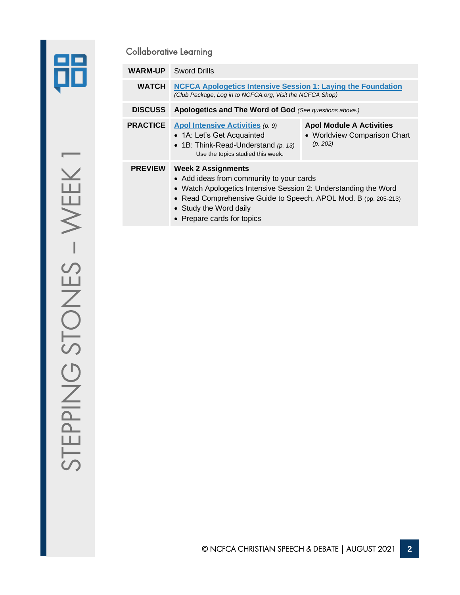

|                                                                                                                                                            | <b>Collaborative Learning</b>                                                                                                                    |                                                                                                                                              |                                                                             |
|------------------------------------------------------------------------------------------------------------------------------------------------------------|--------------------------------------------------------------------------------------------------------------------------------------------------|----------------------------------------------------------------------------------------------------------------------------------------------|-----------------------------------------------------------------------------|
|                                                                                                                                                            | <b>WARM-UP</b>                                                                                                                                   | <b>Sword Drills</b>                                                                                                                          |                                                                             |
|                                                                                                                                                            | <b>WATCH</b><br><b>NCFCA Apologetics Intensive Session 1: Laying the Foundation</b><br>(Club Package, Log in to NCFCA.org, Visit the NCFCA Shop) |                                                                                                                                              |                                                                             |
|                                                                                                                                                            | <b>DISCUSS</b>                                                                                                                                   | Apologetics and The Word of God (See questions above.)                                                                                       |                                                                             |
|                                                                                                                                                            | <b>PRACTICE</b>                                                                                                                                  | Apol Intensive Activities (p. 9)<br>• 1A: Let's Get Acquainted<br>• 1B: Think-Read-Understand $(p. 13)$<br>Use the topics studied this week. | <b>Apol Module A Activities</b><br>• Worldview Comparison Chart<br>(p. 202) |
| <b>PREVIEW</b><br><b>Week 2 Assignments</b><br>• Add ideas from community to your cards<br>• Watch Apologetics Intensive Session 2: Understanding the Word |                                                                                                                                                  |                                                                                                                                              |                                                                             |

- Read Comprehensive Guide to Speech, APOL Mod. B (pp. 205-213)
- Study the Word daily
- Prepare cards for topics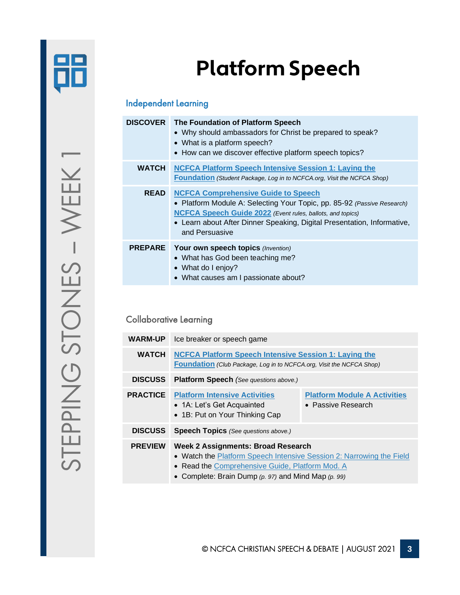

# **Platform Speech**

### Independent Learning

| <b>DISCOVER</b> | The Foundation of Platform Speech<br>• Why should ambassadors for Christ be prepared to speak?<br>• What is a platform speech?<br>• How can we discover effective platform speech topics?                                                                                               |
|-----------------|-----------------------------------------------------------------------------------------------------------------------------------------------------------------------------------------------------------------------------------------------------------------------------------------|
| <b>WATCH</b>    | <b>NCFCA Platform Speech Intensive Session 1: Laying the</b><br><b>Foundation</b> (Student Package, Log in to NCFCA org, Visit the NCFCA Shop)                                                                                                                                          |
| <b>READ</b>     | <b>NCFCA Comprehensive Guide to Speech</b><br>• Platform Module A: Selecting Your Topic, pp. 85-92 (Passive Research)<br><b>NCFCA Speech Guide 2022</b> (Event rules, ballots, and topics)<br>• Learn about After Dinner Speaking, Digital Presentation, Informative,<br>and Persuasive |
|                 | <b>PREPARE</b> Your own speech topics (Invention)<br>• What has God been teaching me?<br>• What do I enjoy?<br>• What causes am I passionate about?                                                                                                                                     |

### Collaborative Learning

| <b>WARM-UP</b>  | Ice breaker or speech game                                                                                                                                                                                                                        |                                                           |
|-----------------|---------------------------------------------------------------------------------------------------------------------------------------------------------------------------------------------------------------------------------------------------|-----------------------------------------------------------|
| <b>WATCH</b>    | <b>NCFCA Platform Speech Intensive Session 1: Laying the</b><br><b>Foundation</b> (Club Package, Log in to NCFCA.org, Visit the NCFCA Shop)                                                                                                       |                                                           |
| <b>DISCUSS</b>  | <b>Platform Speech</b> (See questions above.)                                                                                                                                                                                                     |                                                           |
| <b>PRACTICE</b> | <b>Platform Intensive Activities</b><br>• 1A: Let's Get Acquainted<br>• 1B: Put on Your Thinking Cap                                                                                                                                              | <b>Platform Module A Activities</b><br>• Passive Research |
| <b>DISCUSS</b>  | <b>Speech Topics</b> (See questions above.)                                                                                                                                                                                                       |                                                           |
| <b>PREVIEW</b>  | <b>Week 2 Assignments: Broad Research</b><br>• Watch the <b>Platform Speech Intensive Session 2: Narrowing the Field</b><br>• Read the Comprehensive Guide, Platform Mod. A<br>$O_{2}$ and also Dusin Division $\ell$ are and Mind Man $\ell$ and |                                                           |

• Complete: Brain Dump *(p. 97)* and Mind Map *(p. 99)*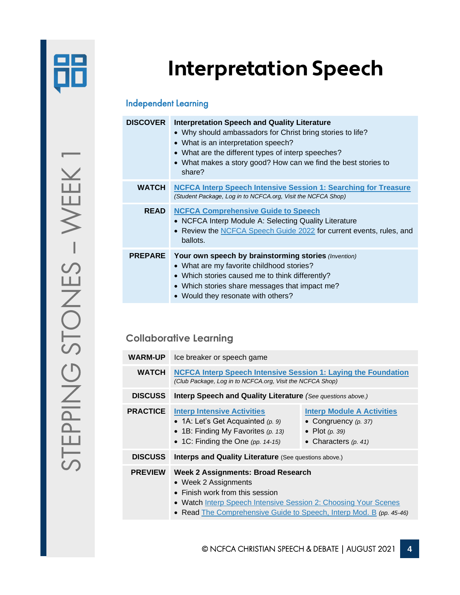

# **Interpretation Speech**

### Independent Learning

| <b>DISCOVER</b> | <b>Interpretation Speech and Quality Literature</b><br>• Why should ambassadors for Christ bring stories to life?<br>• What is an interpretation speech?<br>• What are the different types of interp speeches?<br>• What makes a story good? How can we find the best stories to<br>share? |
|-----------------|--------------------------------------------------------------------------------------------------------------------------------------------------------------------------------------------------------------------------------------------------------------------------------------------|
| <b>WATCH</b>    | <b>NCFCA Interp Speech Intensive Session 1: Searching for Treasure</b><br>(Student Package, Log in to NCFCA.org, Visit the NCFCA Shop)                                                                                                                                                     |
| <b>READ</b>     | <b>NCFCA Comprehensive Guide to Speech</b><br>• NCFCA Interp Module A: Selecting Quality Literature<br>• Review the NCFCA Speech Guide 2022 for current events, rules, and<br>ballots.                                                                                                     |
| <b>PREPARE</b>  | Your own speech by brainstorming stories (Invention)<br>• What are my favorite childhood stories?<br>• Which stories caused me to think differently?<br>• Which stories share messages that impact me?<br>• Would they resonate with others?                                               |

### **Collaborative Learning**

| <b>WARM-UP</b>  | Ice breaker or speech game                                                                                                                                                                                                                             |                                                                                                           |
|-----------------|--------------------------------------------------------------------------------------------------------------------------------------------------------------------------------------------------------------------------------------------------------|-----------------------------------------------------------------------------------------------------------|
| <b>WATCH</b>    | <b>NCFCA Interp Speech Intensive Session 1: Laying the Foundation</b><br>(Club Package, Log in to NCFCA.org, Visit the NCFCA Shop)                                                                                                                     |                                                                                                           |
| <b>DISCUSS</b>  | <b>Interp Speech and Quality Literature</b> (See questions above.)                                                                                                                                                                                     |                                                                                                           |
| <b>PRACTICE</b> | <b>Interp Intensive Activities</b><br>• 1A: Let's Get Acquainted $(p. 9)$<br>• 1B: Finding My Favorites $(p. 13)$<br>• 1C: Finding the One (pp. $14-15$ )                                                                                              | <b>Interp Module A Activities</b><br>• Congruency $(p. 37)$<br>• Plot $(p. 39)$<br>• Characters $(p. 41)$ |
| <b>DISCUSS</b>  | <b>Interps and Quality Literature (See questions above.)</b>                                                                                                                                                                                           |                                                                                                           |
| <b>PREVIEW</b>  | <b>Week 2 Assignments: Broad Research</b><br>• Week 2 Assignments<br>$\bullet$ Finish work from this session<br>• Watch Interp Speech Intensive Session 2: Choosing Your Scenes<br>• Read The Comprehensive Guide to Speech, Interp Mod. B (pp. 45-46) |                                                                                                           |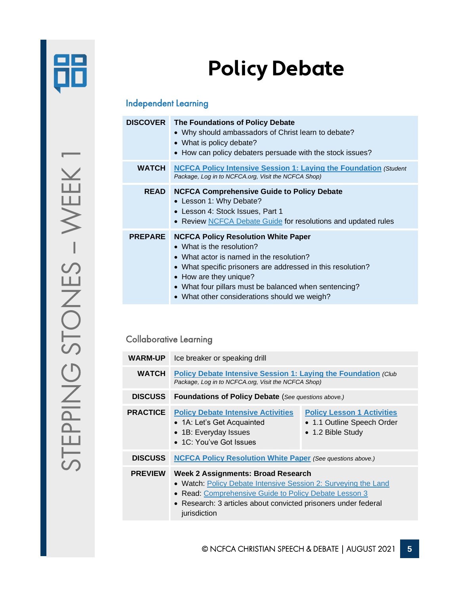

# **Policy Debate**

### Independent Learning

|                | <b>DISCOVER</b> The Foundations of Policy Debate<br>• Why should ambassadors of Christ learn to debate?<br>• What is policy debate?<br>• How can policy debaters persuade with the stock issues?                                                                                                                      |  |
|----------------|-----------------------------------------------------------------------------------------------------------------------------------------------------------------------------------------------------------------------------------------------------------------------------------------------------------------------|--|
| <b>WATCH</b>   | <b>NCFCA Policy Intensive Session 1: Laying the Foundation (Student</b><br>Package, Log in to NCFCA.org, Visit the NCFCA Shop)                                                                                                                                                                                        |  |
| <b>READ</b>    | <b>NCFCA Comprehensive Guide to Policy Debate</b><br>• Lesson 1: Why Debate?<br>• Lesson 4: Stock Issues, Part 1<br>• Review NCFCA Debate Guide for resolutions and updated rules                                                                                                                                     |  |
| <b>PREPARE</b> | <b>NCFCA Policy Resolution White Paper</b><br>• What is the resolution?<br>• What actor is named in the resolution?<br>• What specific prisoners are addressed in this resolution?<br>• How are they unique?<br>• What four pillars must be balanced when sentencing?<br>• What other considerations should we weigh? |  |

### Collaborative Learning

| <b>WARM-UP</b>  | Ice breaker or speaking drill                                                                                                                                                                                                                   |                                                                                      |
|-----------------|-------------------------------------------------------------------------------------------------------------------------------------------------------------------------------------------------------------------------------------------------|--------------------------------------------------------------------------------------|
| <b>WATCH</b>    | <b>Policy Debate Intensive Session 1: Laying the Foundation (Club</b><br>Package, Log in to NCFCA.org, Visit the NCFCA Shop)                                                                                                                    |                                                                                      |
| <b>DISCUSS</b>  | <b>Foundations of Policy Debate</b> (See questions above.)                                                                                                                                                                                      |                                                                                      |
| <b>PRACTICE</b> | <b>Policy Debate Intensive Activities</b><br>• 1A: Let's Get Acquainted<br>• 1B: Everyday Issues<br>• 1C: You've Got Issues                                                                                                                     | <b>Policy Lesson 1 Activities</b><br>• 1.1 Outline Speech Order<br>• 1.2 Bible Study |
| <b>DISCUSS</b>  | <b>NCFCA Policy Resolution White Paper (See questions above.)</b>                                                                                                                                                                               |                                                                                      |
| <b>PREVIEW</b>  | Week 2 Assignments: Broad Research<br>• Watch: Policy Debate Intensive Session 2: Surveying the Land<br>• Read: Comprehensive Guide to Policy Debate Lesson 3<br>• Research: 3 articles about convicted prisoners under federal<br>jurisdiction |                                                                                      |